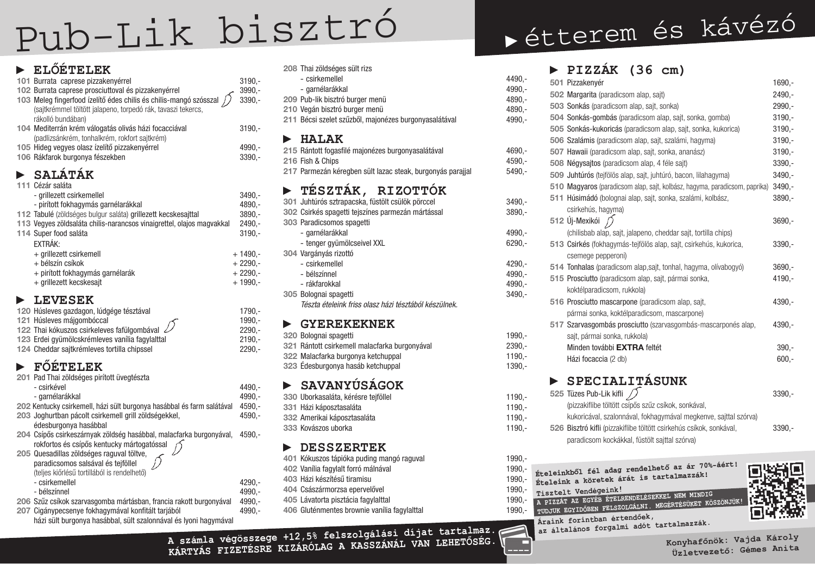# **► ELŐÉTELEK**

| 101 Burrata caprese pizzakenyérrel<br>102 Burrata caprese prosciuttoval és pizzakenyérrel                                                              | $3190,-$<br>$3990,-$ |
|--------------------------------------------------------------------------------------------------------------------------------------------------------|----------------------|
| 103 Meleg fingerfood ízelítő édes chilis és chilis-mangó szósszal<br>(sajtkrémmel töltött jalapeno, torpedó rák, tavaszi tekercs,<br>rákolló bundában) | $3390,-$             |
| 104 Mediterrán krém válogatás olivás házi focacciával<br>(padlizsánkrém, tonhalkrém, rokfort sajtkrém)                                                 | $3190,-$             |
| 105 Hideg vegyes olasz ízelítő pizzakenyérrel                                                                                                          | 4990,-               |
| 106 Rákfarok burgonya fészekben                                                                                                                        | $3390,-$             |
| SALÁTÁK                                                                                                                                                |                      |
| 111 Cézár saláta                                                                                                                                       |                      |
| - grillezett csirkemellel                                                                                                                              | $3490,-$             |
| - pirított fokhagymás garnélarákkal                                                                                                                    | 4890,-               |
| 112 Tabulé (zöldséges bulgur saláta) grillezett kecskesajttal                                                                                          | $3890,-$             |
| 113 Vegyes zöldsaláta chilis-narancsos vinaigrettel, olajos magvakkal                                                                                  | $2490 -$             |
| 114 Super food saláta                                                                                                                                  | $3190 -$             |
| EXTRÁK:                                                                                                                                                |                      |
| + grillezett csirkemell                                                                                                                                | $+1490,-$            |
| + bélszín csíkok                                                                                                                                       | $+2290,-$            |
| + pirított fokhagymás garnélarák                                                                                                                       | $+2290,-$            |
| + grillezett kecskesajt                                                                                                                                | $+1990,-$            |
|                                                                                                                                                        |                      |

#### **► LEVESEK**

Cigánypecsenye fokhagymával konfitált tarjából a 4990,házi sült burgonya hasábbal, sült szalonnával és lyoni hagymával

| 120 Húsleves gazdagon, lúdgége tésztával                  | $1790 -$ |
|-----------------------------------------------------------|----------|
| 121 Húsleves májgombóccal                                 | $1990 -$ |
| 122 Thai kókuszos csirkeleves fafülgombával $\mathscr{L}$ | $2290 -$ |
| 123 Erdei gyümölcskrémleves vanília fagylalttal           | $2190 -$ |
| 124 Cheddar sajtkrémieves tortilla chipssel               | $2290 -$ |

# **► FŐÉTELEK**

201 Pad Thai zöldséges pirított üvegtészta

| - csirkével                                                            | 4490,-                                 |
|------------------------------------------------------------------------|----------------------------------------|
| - garnélarákkal                                                        | $4990 -$                               |
| 202 Kentucky csirkemell, házi sült burgonya hasábbal és farm salátával | $4590,-$                               |
| 203 Joghurtban pácolt csirkemell grill zöldségekkel,                   | $4590 -$                               |
| édesburgonya hasábbal                                                  |                                        |
| 204 Csípős csirkeszárnyak zöldség hasábbal, malacfarka burgonyával,    | $4590 -$                               |
| rokfortos és csípős kentucky mártogatóssal                             |                                        |
| 205 Quesadillas zöldséges raguval töltve,                              |                                        |
| paradicsomos salsával és tejföllel                                     |                                        |
| (teljes kiőrlésű tortillából is rendelhető)                            |                                        |
| - csirkemellel                                                         | $4290 -$                               |
| - bélszínnel                                                           | $4990,-$                               |
| 206 Szűz csíkok szarvasgomba mártásban, francia rakott burgonyával     | 4990,-                                 |
| 207 Cigánynecsenye fokhagymával konfitált tarjából                     | $\Lambda$ QQN $\overline{\phantom{a}}$ |

| 501 Pizzakenyér                                                            | $1690,-$ |
|----------------------------------------------------------------------------|----------|
| 502 Margarita (paradicsom alap, sajt)                                      | $2490,-$ |
| 503 Sonkás (paradicsom alap, sajt, sonka)                                  | $2990,-$ |
| 504 Sonkás-gombás (paradicsom alap, sajt, sonka, gomba)                    | $3190,-$ |
| 505 Sonkás-kukoricás (paradicsom alap, sajt, sonka, kukorica)              | $3190,-$ |
| 506 Szalámis (paradicsom alap, sajt, szalámi, hagyma)                      | $3190,-$ |
| 507 Hawaii (paradicsom alap, sajt, sonka, ananász)                         | $3190,-$ |
| 508 Négysajtos (paradicsom alap, 4 féle sajt)                              | $3390,-$ |
| 509 Juhtúrós (tejfölös alap, sajt, juhtúró, bacon, lilahagyma)             | $3490,-$ |
| 510 Magyaros (paradicsom alap, sajt, kolbász, hagyma, paradicsom, paprika) | $3490,-$ |
| <b>511 Húsimádó</b> (bolognai alap, sajt, sonka, szalámi, kolbász,         | $3890,-$ |
| csirkehús, hagyma)                                                         |          |
| 512 Új-Mexikói $\bigcap$                                                   | $3690,-$ |
| (chilisbab alap, sajt, jalapeno, cheddar sajt, tortilla chips)             |          |
| 513 Csirkés (fokhagymás-tejfölös alap, sajt, csirkehús, kukorica,          | $3390,-$ |
| csemege pepperoni)                                                         |          |
| 514 Tonhalas (paradicsom alap, sajt, tonhal, hagyma, olívabogyó)           | $3690,-$ |
| 515 Prosciutto (paradicsom alap, sajt, pármai sonka,                       | $4190,-$ |
| koktélparadicsom, rukkola)                                                 |          |
| 516 Prosciutto mascarpone (paradicsom alap, sajt,                          | $4390,-$ |
| pármai sonka, koktélparadicsom, mascarpone)                                |          |
| 517 Szarvasgombás prosciutto (szarvasgombás-mascarponés alap,              | $4390,-$ |
| sajt, pármai sonka, rukkola)                                               |          |
| Minden további EXTRA feltét                                                | $390,-$  |
| Házi focaccia (2 db)                                                       | $600,-$  |
|                                                                            |          |
| SPECIALITÁSUNK                                                             |          |
| 525 Tüzes Pub-Lik kifli $\sqrt{ }$                                         | $3390,-$ |
| (pizzakiflibe töltött csípős szűz csíkok, sonkával,                        |          |
| kukoricával, szalonnával, fokhagymával megkenve, sajttal szórva)           |          |
| 526 Bisztró kifli (pizzakiflibe töltött csirkehús csíkok, sonkával,        | $3390 -$ |

|                       | 208 Thai zöldséges sült rizs                               |           |
|-----------------------|------------------------------------------------------------|-----------|
|                       | - csirkemellel                                             | 4490,-    |
|                       | - garnélarákkal                                            | 4990,-    |
|                       | 209 Pub-lik bisztró burger menü                            | 4890,-    |
|                       | 210 Vegán bisztró burger menü                              | 4890,-    |
|                       | 211 Bécsi szelet szűzből, majonézes burgonyasalátával      | 4990,-    |
|                       | $\blacktriangleright$ HALAK                                |           |
|                       | 215 Rántott fogasfilé majonézes burgonyasalátával          | $4690, -$ |
|                       | 216 Fish & Chips                                           | $4590, -$ |
|                       | 217 Parmezán kéregben sült lazac steak, burgonyás parajjal | $5490,-$  |
|                       | $\blacktriangleright$ TÉSZTÁK, RIZOTTÓK                    |           |
|                       | 301 Juhtúrós sztrapacska, füstölt csülök pörccel           | $3490,-$  |
|                       | 302 Csirkés spagetti tejszínes parmezán mártással          | 3890,-    |
|                       | 303 Paradicsomos spagetti                                  |           |
|                       | - garnélarákkal                                            | $4990, -$ |
|                       | - tenger gyümölcseivel XXL                                 | 6290,-    |
|                       | 304 Vargányás rizottó                                      |           |
|                       | - csirkemellel                                             | $4290, -$ |
|                       | - bélszínnel                                               | 4990,-    |
|                       | - rákfarokkal                                              | $4990,-$  |
|                       | 305 Bolognai spagetti                                      | $3490,-$  |
|                       | Tészta ételeink friss olasz házi tésztából készülnek.      |           |
| $\blacktriangleright$ | <b>GYEREKEKNEK</b>                                         |           |
|                       | 200 Rolognai enagotti                                      | 1000 L    |

| 320 Bolognai spagetti                         | 1990.- |
|-----------------------------------------------|--------|
| 321 Rántott csirkemell malacfarka burgonyával | 2390.- |
| 322 Malacfarka burgonya ketchuppal            | 1190.- |
| 323 Édesburgonya hasáb ketchuppal             | 1390.- |

# **► SAVANYÚSÁGOK**

| 330 Uborkasaláta, kérésre tejföllel | 1190.- |
|-------------------------------------|--------|
| 331 Házi káposztasaláta             | 1190.- |
| 332 Amerikai káposztasaláta         | 1190.- |
| 333 Kovászos uborka                 | 1190.- |

#### **► DESSZERTEK**

| 401 Kókuszos tápióka puding mangó raguval    | 1990.-   |
|----------------------------------------------|----------|
| 402 Vanília fagylalt forró málnával          | 1990.-   |
| 403 Házi készítésű tiramisu                  | $1990 -$ |
| 404 Császármorzsa epervelővel                | $1990 -$ |
| 405 Lávatorta pisztácia fagylalttal          | $1990 -$ |
| 406 Gluténmentes brownie vanília fagylalttal | 1990.-   |

# **► PIZZÁK (36 cm)**

paradicsom kockákkal, füstölt sajttal szórva)

# Pub-Lik bisztr<sup>ó</sup> **►** étterem és kávézó

**Konyhafőnök: Vajda Károly Üzletvezető: Gémes Anita**

**<sup>A</sup> számla végösszege +12,5% felszolgálási díjat tartalmaz. Kártyás fizetésre kizárólag a kasszánál van lehetőség.**



**Ételeinkből fél adag rendelhető az ár 70%-áért! Ételeink a köretek árát is tartalmazzák! Tisztelt Vendégeink! A pizzát az egyéb ételrendelésekkel nem mindig tudjuk egyidőben felszolgálni. Megértésüket köszönjük! Áraink forintban értendőek, az általános forgalmi adót tartalmazzák.**